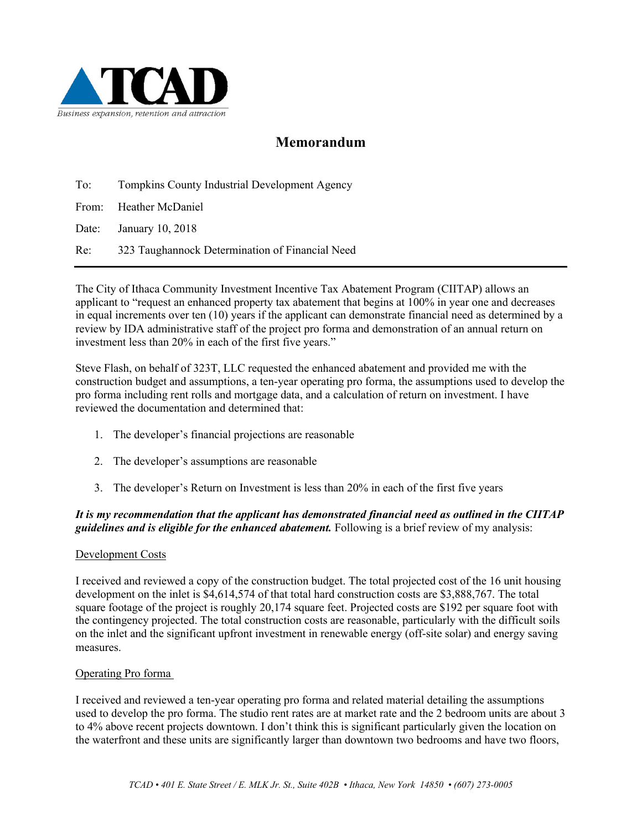

# **Memorandum**

| To: | <b>Tompkins County Industrial Development Agency</b> |  |  |  |  |
|-----|------------------------------------------------------|--|--|--|--|
|     | From: Heather McDaniel                               |  |  |  |  |
|     | Date: January 10, 2018                               |  |  |  |  |
| Re: | 323 Taughannock Determination of Financial Need      |  |  |  |  |

The City of Ithaca Community Investment Incentive Tax Abatement Program (CIITAP) allows an applicant to "request an enhanced property tax abatement that begins at 100% in year one and decreases in equal increments over ten (10) years if the applicant can demonstrate financial need as determined by a review by IDA administrative staff of the project pro forma and demonstration of an annual return on investment less than 20% in each of the first five years."

Steve Flash, on behalf of 323T, LLC requested the enhanced abatement and provided me with the construction budget and assumptions, a ten-year operating pro forma, the assumptions used to develop the pro forma including rent rolls and mortgage data, and a calculation of return on investment. I have reviewed the documentation and determined that:

- 1. The developer's financial projections are reasonable
- 2. The developer's assumptions are reasonable
- 3. The developer's Return on Investment is less than 20% in each of the first five years

### *It is my recommendation that the applicant has demonstrated financial need as outlined in the CIITAP guidelines and is eligible for the enhanced abatement.* Following is a brief review of my analysis:

#### Development Costs

I received and reviewed a copy of the construction budget. The total projected cost of the 16 unit housing development on the inlet is \$4,614,574 of that total hard construction costs are \$3,888,767. The total square footage of the project is roughly 20,174 square feet. Projected costs are \$192 per square foot with the contingency projected. The total construction costs are reasonable, particularly with the difficult soils on the inlet and the significant upfront investment in renewable energy (off-site solar) and energy saving measures.

#### Operating Pro forma

I received and reviewed a ten-year operating pro forma and related material detailing the assumptions used to develop the pro forma. The studio rent rates are at market rate and the 2 bedroom units are about 3 to 4% above recent projects downtown. I don't think this is significant particularly given the location on the waterfront and these units are significantly larger than downtown two bedrooms and have two floors,